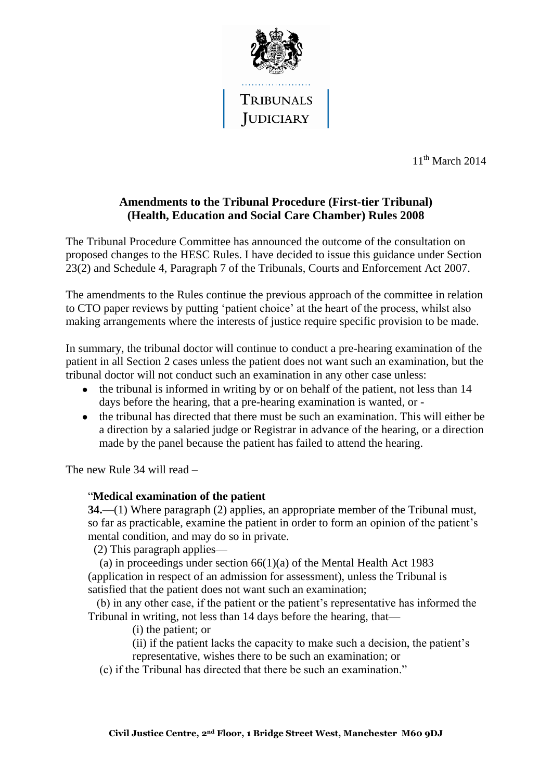

11<sup>th</sup> March 2014

## **Amendments to the Tribunal Procedure (First-tier Tribunal) (Health, Education and Social Care Chamber) Rules 2008**

The Tribunal Procedure Committee has announced the outcome of the consultation on proposed changes to the HESC Rules. I have decided to issue this guidance under Section 23(2) and Schedule 4, Paragraph 7 of the Tribunals, Courts and Enforcement Act 2007.

The amendments to the Rules continue the previous approach of the committee in relation to CTO paper reviews by putting 'patient choice' at the heart of the process, whilst also making arrangements where the interests of justice require specific provision to be made.

In summary, the tribunal doctor will continue to conduct a pre-hearing examination of the patient in all Section 2 cases unless the patient does not want such an examination, but the tribunal doctor will not conduct such an examination in any other case unless:

- the tribunal is informed in writing by or on behalf of the patient, not less than 14 days before the hearing, that a pre-hearing examination is wanted, or -
- the tribunal has directed that there must be such an examination. This will either be a direction by a salaried judge or Registrar in advance of the hearing, or a direction made by the panel because the patient has failed to attend the hearing.

The new Rule 34 will read –

## ―**Medical examination of the patient**

**34.**—(1) Where paragraph (2) applies, an appropriate member of the Tribunal must, so far as practicable, examine the patient in order to form an opinion of the patient's mental condition, and may do so in private.

(2) This paragraph applies—

(a) in proceedings under section  $66(1)(a)$  of the Mental Health Act 1983 (application in respect of an admission for assessment), unless the Tribunal is satisfied that the patient does not want such an examination;

 (b) in any other case, if the patient or the patient's representative has informed the Tribunal in writing, not less than 14 days before the hearing, that—

(i) the patient; or

(ii) if the patient lacks the capacity to make such a decision, the patient's representative, wishes there to be such an examination; or

(c) if the Tribunal has directed that there be such an examination."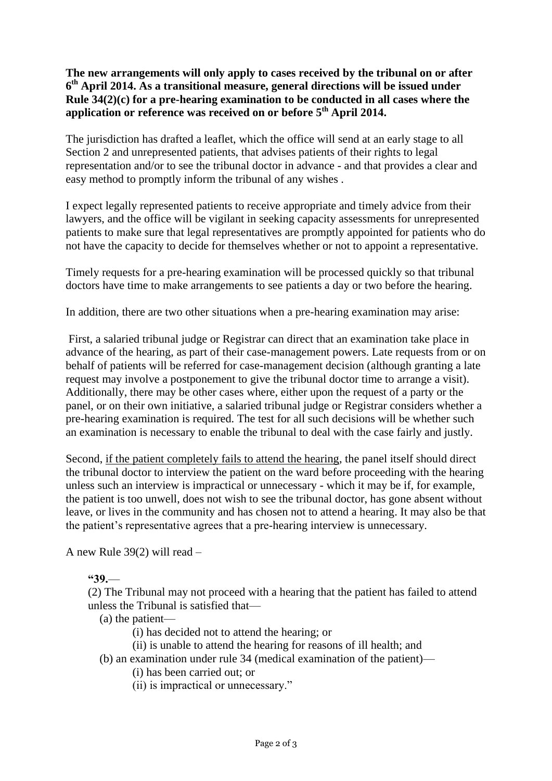**The new arrangements will only apply to cases received by the tribunal on or after 6 th April 2014. As a transitional measure, general directions will be issued under Rule 34(2)(c) for a pre-hearing examination to be conducted in all cases where the application or reference was received on or before 5th April 2014.**

The jurisdiction has drafted a leaflet, which the office will send at an early stage to all Section 2 and unrepresented patients, that advises patients of their rights to legal representation and/or to see the tribunal doctor in advance - and that provides a clear and easy method to promptly inform the tribunal of any wishes .

I expect legally represented patients to receive appropriate and timely advice from their lawyers, and the office will be vigilant in seeking capacity assessments for unrepresented patients to make sure that legal representatives are promptly appointed for patients who do not have the capacity to decide for themselves whether or not to appoint a representative.

Timely requests for a pre-hearing examination will be processed quickly so that tribunal doctors have time to make arrangements to see patients a day or two before the hearing.

In addition, there are two other situations when a pre-hearing examination may arise:

First, a salaried tribunal judge or Registrar can direct that an examination take place in advance of the hearing, as part of their case-management powers. Late requests from or on behalf of patients will be referred for case-management decision (although granting a late request may involve a postponement to give the tribunal doctor time to arrange a visit). Additionally, there may be other cases where, either upon the request of a party or the panel, or on their own initiative, a salaried tribunal judge or Registrar considers whether a pre-hearing examination is required. The test for all such decisions will be whether such an examination is necessary to enable the tribunal to deal with the case fairly and justly.

Second, if the patient completely fails to attend the hearing, the panel itself should direct the tribunal doctor to interview the patient on the ward before proceeding with the hearing unless such an interview is impractical or unnecessary - which it may be if, for example, the patient is too unwell, does not wish to see the tribunal doctor, has gone absent without leave, or lives in the community and has chosen not to attend a hearing. It may also be that the patient's representative agrees that a pre-hearing interview is unnecessary.

A new Rule 39(2) will read –

**"39.**—

(2) The Tribunal may not proceed with a hearing that the patient has failed to attend unless the Tribunal is satisfied that—

(a) the patient—

(i) has decided not to attend the hearing; or

(ii) is unable to attend the hearing for reasons of ill health; and

(b) an examination under rule 34 (medical examination of the patient)—

(i) has been carried out; or

(ii) is impractical or unnecessary."